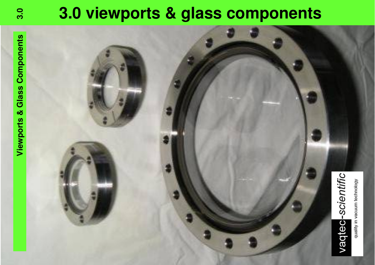# **3.0 3.0 viewports & glass components**

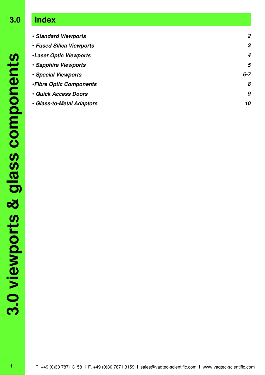## **3.0 Index**

| · Standard Viewports           | 2       |
|--------------------------------|---------|
| • Fused Silica Viewports       | 3       |
| <b>.Laser Optic Viewports</b>  | 4       |
| · Sapphire Viewports           | 5       |
| • Special Viewports            | $6 - 7$ |
| <b>.Fibre Optic Components</b> | 8       |
| • Quick Access Doors           | 9       |
| • Glass-to-Metal Adaptors      | 10      |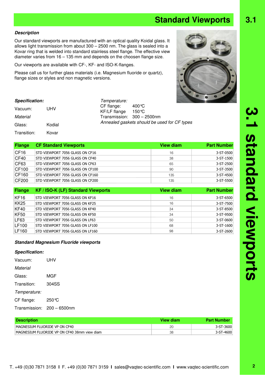#### T. +49 (0)30 7871 3158 **I** F. +49 (0)30 7871 3159 **I** sales@vaqtec-scientific.com **I** www.vaqtec-scientific.com

#### **Description**

Our standard viewports are manufactured with an optical quality Koidal glass. It allows light transmission from about 300 – 2500 nm. The glass is sealed into a Kovar ring that is welded into standard stainless steel flange. The effective view diameter varies from 16 – 135 mm and depends on the choosen flange size.

Our viewports are available with CF-, KF- and ISO-K-flanges.

Please call us for further glass materials (i.e. Magnesium fluoride or quartz), flange sizes or styles and non magnetic versions.

| <b>Specification:</b> |        | Temperature:               |                                              |
|-----------------------|--------|----------------------------|----------------------------------------------|
| Vacuum:               | UHV    | CF flange:<br>KF/LF flange | 400 °C<br>150℃                               |
| Material              |        |                            | Transmission: 300 - 2500nm                   |
| Glass:                | Kodial |                            | Annealed gaskets should be used for CF types |
| Transition:           | Kovar  |                            |                                              |

| <b>Flange</b>    | <b>CF Standard Viewports</b>     | <b>View diam</b> | <b>Part Number</b> |
|------------------|----------------------------------|------------------|--------------------|
| CF <sub>16</sub> | STD VIEWPORT 7056 GLASS ON CF16  | 16               | 3-ST-0500          |
| CF40             | STD VIEWPORT 7056 GLASS ON CF40  | 38               | 3-ST-1500          |
| CF63             | STD VIEWPORT 7056 GLASS ON CF63  | 65               | 3-ST-2500          |
| CF100            | STD VIEWPORT 7056 GLASS ON CF100 | 90               | 3-ST-3500          |
| CF160            | STD VIEWPORT 7056 GLASS ON CF160 | 135              | 3-ST-4500          |
| CF200            | STD VIEWPORT 7056 GLASS ON CF200 | 135              | 3-ST-5500          |

| Flange           | <b>KF / ISO-K (LF) Standard Viewports</b> | <b>View diam</b> | <b>Part Number</b> |
|------------------|-------------------------------------------|------------------|--------------------|
| KF <sub>16</sub> | STD VIEWPORT 7056 GLASS ON KF16           | 16               | 3-ST-6500          |
| <b>KK25</b>      | STD VIEWPORT 7056 GLASS ON KF25           | 16               | 3-ST-7500          |
| KF40             | STD VIEWPORT 7056 GLASS ON KF40           | 34               | 3-ST-8500          |
| KF50             | STD VIEWPORT 7056 GLASS ON KF50           | 34               | 3-ST-9500          |
| LF63             | STD VIEWPORT 7056 GLASS ON LF63           | 50               | 3-ST-0600          |
| LF100            | STD VIEWPORT 7056 GLASS ON LF100          | 68               | 3-ST-1600          |
| LF160            | STD VIEWPORT 7056 GLASS ON LF160          | 98               | 3-ST-2600          |
|                  |                                           |                  |                    |

#### **Standard Magnesium Fluoride viewports**

#### **Specification:**

| Vacuum:       | UHV             |
|---------------|-----------------|
| Material      |                 |
| Glass:        | MGF             |
| Transition:   | 304SS           |
| Temperature:  |                 |
| CF flange:    | 250 ℃           |
| Transmission: | $200 - 6500$ nm |

| <b>Description</b>                           | View diam | <b>Part Number</b> |
|----------------------------------------------|-----------|--------------------|
| MAGNESIUM FLUORIDE VP ON CF40                | 20        | $3 - ST - 3600$    |
| MAGNESIUM FLUORIDE VP ON CF40 38mm view diam | 38        | 3-ST-4600          |

**2**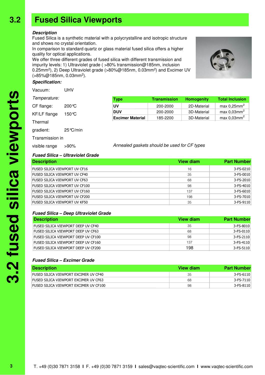### **3.2 Fused Silica Viewports**

#### **Description**

Fused Silica is a synthetic material with a polycrystalline and isotropic structure and shows no crystal orientation.

In comparison to standard quartz or glass material fused silica offers a higher quality for optical applications.

We offer three different grades of fused silica with different transmission and impurity levels: 1) Ultraviolet grade ( >80% transmission@185nm, inclusion 0.25mm<sup>2</sup> ), 2) Deep Ultraviolet grade (>80%@185nm, 0.03mm<sup>2</sup> ) and Excimer UV (>85%@185nm, 0.03mm<sup>2</sup> ).

#### **Specification:**

| Vacuum:         | UHV                |                                              |                     |                   |                            |
|-----------------|--------------------|----------------------------------------------|---------------------|-------------------|----------------------------|
| Temperature:    |                    | <b>Type</b>                                  | <b>Transmission</b> | <b>Homogenity</b> | <b>Total Inclusion</b>     |
| CF flange:      | $200^{\circ}C$     | UV                                           | 200-2000            | 2D-Material       | max $0,25$ mm <sup>2</sup> |
| KF/LF flange    | 150 °C             | <b>DUV</b>                                   | 200-2000            | 3D-Material       | max 0,03mm <sup>2</sup>    |
|                 |                    | <b>Excimer Material</b>                      | 185-2200            | 3D-Material       | max 0.03mm <sup>2</sup>    |
| Thermal         |                    |                                              |                     |                   |                            |
| gradient:       | $25^{\circ}$ C/min |                                              |                     |                   |                            |
| Transmission in |                    |                                              |                     |                   |                            |
| visible range   | $>90\%$            | Annealed gaskets should be used for CF types |                     |                   |                            |

#### **Fused Silica – Ultraviolet Grade**

| <b>Description</b>             | View diam | <b>Part Number</b> |
|--------------------------------|-----------|--------------------|
| FUSED SILICA VIEWPORT UV CF16  | 16        | 3-FS-0210          |
| FUSED SILICA VIEWPORT UV CF40  | 35        | 3-FS-0010          |
| FUSED SILICA VIEWPORT UV CF63  | 68        | 3-FS-2010          |
| FUSED SILICA VIEWPORT UV CF100 | 98        | 3-FS-4010          |
| FUSED SILICA VIEWPORT UV CF160 | 137       | 3-FS-6010          |
| FUSED SILICA VIEWPORT UV CF200 | 198       | 3-FS-7010          |
| FUSED SILICA VIEWPORT UV KF50  | 35        | 3-FS-9110          |

#### **Fused Silica – Deep Ultraviolet Grade**

| <b>Description</b>                  | View diam | <b>Part Number</b> |
|-------------------------------------|-----------|--------------------|
| FUSED SILICA VIEWPORT DEEP UV CF40  | 35        | 3-FS-8010          |
| FUSED SILICA VIEWPORT DEEP UV CF63  | 68        | $3-FS-0110$        |
| FUSED SILICA VIEWPORT DEEP UV CF100 | 98        | $3-FS-2110$        |
| FUSED SILICA VIEWPORT DEEP UV CF160 | 137       | $3-FS-4110$        |
| FUSED SILICA VIEWPORT DEEP UV CF200 | 198       | $3-FS-5110$        |

#### **Fused Silica – Excimer Grade**

| <b>Description</b>                     | View diam | <b>Part Number</b> |
|----------------------------------------|-----------|--------------------|
| FUSED SILICA VIEWPORT EXCIMER UV CF40  | 35        | $3-FS-6110$        |
| Fused Silica Viewport excimer uv CF63  | 68        | 3-FS-7110          |
| FUSED SILICA VIEWPORT EXCIMER UV CF100 | 98        | 3-FS-8110          |



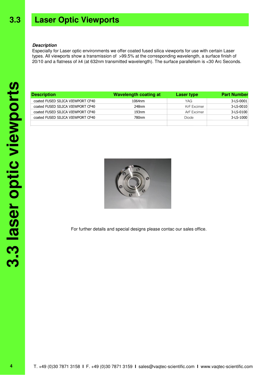#### **Laser Optic Viewports 3.3**

#### **Description**

Especially for Laser optic environments we offer coated fused silica viewports for use with certain Laser types. All viewports show a transmission of >99.5% at the corresponding wavelength, a surface finish of 20/10 and a flatness of λ4 (at 632nm transmitted wavelength). The surface parallelism is <30 Arc Seconds.

| <b>Description</b>                | <b>Wavelength coating at</b> | Laser type  | <b>Part Number</b> |
|-----------------------------------|------------------------------|-------------|--------------------|
| coated FUSED SILICA VIEWPORT CF40 | 1064nm                       | YAG.        | 3-LS-0001          |
| coated FUSED SILICA VIEWPORT CF40 | 248nm                        | KrF Excimer | 3-LS-0010          |
| coated FUSED SILICA VIEWPORT CF40 | 193nm                        | ArF Excimer | 3-LS-0100          |
| coated FUSED SILICA VIEWPORT CF40 | 780nm                        | Diode       | 3-LS-1000          |
|                                   |                              |             |                    |



For further details and special designs please contac our sales office.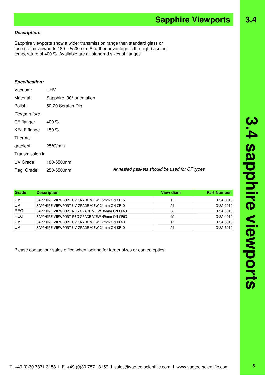### **Description:**

Sapphire viewports show a wider transmission range then standard glass or fused silica viewports:180 – 5500 nm. A further advantage is the high bake out temperature of 400°C. Available are all standrad sizes of flanges.

### **Specification:**

| Vacuum:         | <b>UHV</b>                |                                              |
|-----------------|---------------------------|----------------------------------------------|
| Material:       | Sapphire, 90° orientation |                                              |
| Polish:         | 50-20 Scratch-Dig         |                                              |
| Temperature:    |                           |                                              |
| CF flange:      | 400 °C                    |                                              |
| KF/LF flange    | $150^{\circ}$ C           |                                              |
| Thermal         |                           |                                              |
| gradient:       | 25 ℃/min                  |                                              |
| Transmission in |                           |                                              |
| UV Grade:       | 180-5500nm                |                                              |
| Reg. Grade:     | 250-5500nm                | Annealed gaskets should be used for CF types |
|                 |                           |                                              |

| Grade      | <b>Description</b>                            | View diam | <b>Part Number</b> |
|------------|-----------------------------------------------|-----------|--------------------|
| <b>IUV</b> | SAPPHIRE VIEWPORT UV GRADE VIEW 15mm ON CF16  | 15        | 3-SA-0010          |
| <b>UV</b>  | SAPPHIRE VIEWPORT UV GRADE VIEW 24mm ON CF40  | 24        | 3-SA-2010          |
| <b>REG</b> | SAPPHIRE VIEWPORT REG GRADE VIEW 36mm ON CF63 | 36        | 3-SA-3010          |
| <b>REG</b> | SAPPHIRE VIEWPORT REG GRADE VIEW 49mm ON CF63 | 49        | 3-SA-4010          |
| U٧         | SAPPHIRE VIEWPORT UV GRADE VIEW 17mm ON KF40  | 17        | 3-SA-5010          |
| ١U٧        | SAPPHIRE VIEWPORT UV GRADE VIEW 24mm ON KF40  | 24        | 3-SA-6010          |

Please contact our sales office when looking for larger sizes or coated optics!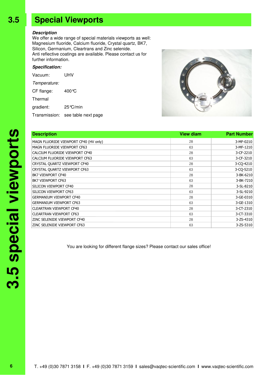### **3.5 Special Viewports**

#### **Description**

We offer a wide range of special materials viewports as well: Magnesium fluoride, Calcium fluoride, Crystal quartz, BK7, Silicon, Germanium, Cleartrans and Zinc selenide. Anti reflective coatings are available. Please contact us for further information.

#### **Specification:**

| Vacuum:      | UHV                               |  |  |
|--------------|-----------------------------------|--|--|
| Temperature: |                                   |  |  |
| CF flange:   | 400 $\degree$ C                   |  |  |
| Thermal      |                                   |  |  |
| gradient:    | $25^{\circ}$ C/min                |  |  |
|              | Transmission: see table next page |  |  |



| <b>View diam</b> | <b>Part Number</b> |
|------------------|--------------------|
| 28               | 3-MF-0210          |
| 63               | 3-MF-1210          |
| 28               | 3-CF-2210          |
| 63               | 3-CF-3210          |
| 28               | 3-CO-4210          |
| 63               | 3-CQ-5210          |
| 28               | 3-BK-6210          |
| 63               | 3-BK-7210          |
| 28               | 3-SL-8210          |
| 63               | 3-SL-9210          |
| 28               | 3-GE-0310          |
| 63               | 3-GE-1310          |
| 28               | 3-CT-2310          |
| 63               | 3-CT-3310          |
| 28               | 3-ZS-4310          |
| 63               | 3-ZS-5310          |
|                  |                    |

You are looking for different flange sizes? Please contact our sales office!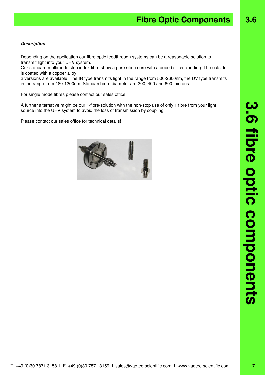#### **Description**

Depending on the application our fibre optic feedthrough systems can be a reasonable solution to transmit light into your UHV system.

Our standard multimode step index fibre show a pure silica core with a doped silica cladding. The outside is coated with a copper alloy.

2 versions are available: The IR type transmits light in the range from 500-2600nm, the UV type transmits in the range from 180-1200nm. Standard core diameter are 200, 400 and 600 microns.

For single mode fibres please contact our sales office!

A further alternative might be our 1-fibre-solution with the non-stop use of only 1 fibre from your light source into the UHV system to avoid the loss of transmission by coupling.

Please contact our sales office for technical details!

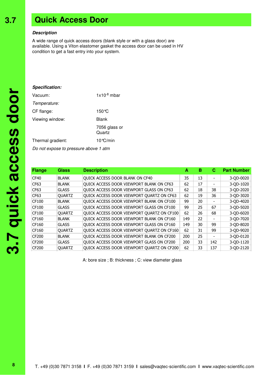### **3.5 Quick Access Door**

#### **Description**

A wide range of quick access doors (blank style or with a glass door) are available. Using a Viton elastomer gasket the access door can be used in HV condition to get a fast entry into your system.

| Specification:    |                         |
|-------------------|-------------------------|
| Vacuum:           | $1x10^{-8}$ mbar        |
| Temperature:      |                         |
| CF flange:        | 150 °C                  |
| Viewing window:   | Blank                   |
|                   | 7056 glass or<br>Quartz |
| Thermal gradient: | 10 ℃/min                |
|                   |                         |

Do not expose to pressure above 1 atm

| <b>Flange</b> | <b>Glass</b>  | <b>Description</b>                         | А   | в  | С   | <b>Part Number</b> |
|---------------|---------------|--------------------------------------------|-----|----|-----|--------------------|
| CF40          | <b>BLANK</b>  | QUICK ACCESS DOOR BLANK ON CF40            | 35  | 13 |     | 3-QD-0020          |
| CF63          | <b>BLANK</b>  | QUICK ACCESS DOOR VIEWPORT BLANK ON CF63   | 62  | 17 |     | 3-OD-1020          |
| CF63          | <b>GLASS</b>  | QUICK ACCESS DOOR VIEWPORT GLASS ON CF63   | 62  | 18 | 38  | 3-QD-2020          |
| CF63          | <b>OUARTZ</b> | QUICK ACCESS DOOR VIEWPORT QUARTZ ON CF63  | 62  | 19 | 36  | 3-QD-3020          |
| CF100         | <b>BLANK</b>  | QUICK ACCESS DOOR VIEWPORT BLANK ON CF100  | 99  | 20 |     | 3-OD-4020          |
| CF100         | <b>GLASS</b>  | QUICK ACCESS DOOR VIEWPORT GLASS ON CF100  | 99  | 25 | 67  | 3-QD-5020          |
| CF100         | <b>OUARTZ</b> | QUICK ACCESS DOOR VIEWPORT QUARTZ ON CF100 | 62  | 26 | 68  | 3-QD-6020          |
| CF160         | <b>BLANK</b>  | QUICK ACCESS DOOR VIEWPORT BLANK ON CF160  | 149 | 22 |     | 3-OD-7020          |
| CF160         | <b>GLASS</b>  | QUICK ACCESS DOOR VIEWPORT GLASS ON CF160  | 149 | 30 | 99  | 3-QD-8020          |
| CF160         | <b>OUARTZ</b> | QUICK ACCESS DOOR VIEWPORT QUARTZ ON CF160 | 62  | 31 | 99  | 3-OD-9020          |
| <b>CF200</b>  | <b>BLANK</b>  | QUICK ACCESS DOOR VIEWPORT BLANK ON CF200  | 200 | 25 |     | 3-OD-0120          |
| <b>CF200</b>  | <b>GLASS</b>  | QUICK ACCESS DOOR VIEWPORT GLASS ON CF200  | 200 | 33 | 142 | 3-OD-1120          |
| <b>CF200</b>  | <b>QUARTZ</b> | QUICK ACCESS DOOR VIEWPORT QUARTZ ON CF200 | 62  | 33 | 137 | 3-QD-2120          |

A: bore size ; B: thickness ; C: view diameter glass

**3.7**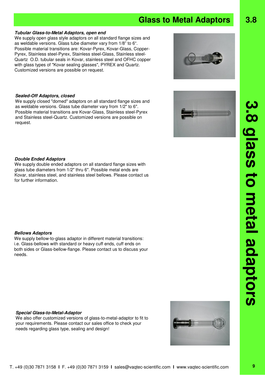### **Glass to Metal Adaptors 3.8**

#### **Tubular Glass-to-Metal Adaptors, open end**

We supply open glass style adaptors on all standard flange sizes and as weldable versions. Glass tube diameter vary from 1/8" to 6". Possible material transitions are: Kovar-Pyrex, Kovar-Glass, Copper-Pyrex, Stainless steel-Pyrex, Stainless steel-Glass, Stainless steel-Quartz O.D. tubular seals in Kovar, stainless steel and OFHC copper with glass types of "Kovar sealing glasses", PYREX and Quartz. Customized versions are possible on request.

#### **Sealed-Off Adaptors, closed**

We supply closed "domed" adaptors on all standard flange sizes and as weldable versions. Glass tube diameter vary from 1/2" to 6". Possible material transitions are Kovar-Glass, Stainless steel-Pyrex and Stainless steel-Quartz. Customized versions are possible on request.

#### **Double Ended Adaptors**

We supply double ended adaptors on all standard flange sizes with glass tube diameters from 1/2" thru 6". Possible metal ends are Kovar, stainless steel, and stainless steel bellows. Please contact us for further information.

#### **Bellows Adaptors**

We supply bellow-to-glass adaptor in different material transitions: i.e. Glass-bellows with standard or heavy cuff ends, cuff ends on both sides or Glass-bellow-flange. Please contact us to discuss your needs.

#### **Special Glass-to-Metal-Adaptor**

We also offer customized versions of glass-to-metal-adaptor to fit to your requirements. Please contact our sales office to check your needs regarding glass type, sealing and design!